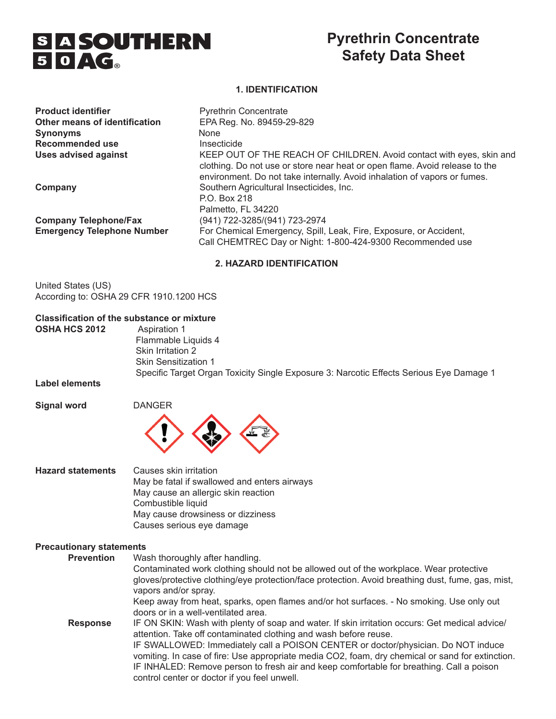

# **Pyrethrin Concentrate Safety Data Sheet**

#### **1. IDENTIFICATION**

| <b>Product identifier</b>         | <b>Pyrethrin Concentrate</b>                                                                                                                                                                                                     |
|-----------------------------------|----------------------------------------------------------------------------------------------------------------------------------------------------------------------------------------------------------------------------------|
| Other means of identification     | EPA Reg. No. 89459-29-829                                                                                                                                                                                                        |
| <b>Synonyms</b>                   | <b>None</b>                                                                                                                                                                                                                      |
| <b>Recommended use</b>            | Insecticide                                                                                                                                                                                                                      |
| <b>Uses advised against</b>       | KEEP OUT OF THE REACH OF CHILDREN. Avoid contact with eyes, skin and<br>clothing. Do not use or store near heat or open flame. Avoid release to the<br>environment. Do not take internally. Avoid inhalation of vapors or fumes. |
| Company                           | Southern Agricultural Insecticides, Inc.<br>P.O. Box 218<br>Palmetto, FL 34220                                                                                                                                                   |
| <b>Company Telephone/Fax</b>      | (941) 722-3285/(941) 723-2974                                                                                                                                                                                                    |
| <b>Emergency Telephone Number</b> | For Chemical Emergency, Spill, Leak, Fire, Exposure, or Accident,<br>Call CHEMTREC Day or Night: 1-800-424-9300 Recommended use                                                                                                  |

#### **2. HAZARD IDENTIFICATION**

United States (US) According to: OSHA 29 CFR 1910.1200 HCS

# **Classification of the substance or mixture**

**OSHA HCS 2012** 

 Flammable Liquids 4 Skin Irritation 2 Skin Sensitization 1 Specific Target Organ Toxicity Single Exposure 3: Narcotic Effects Serious Eye Damage 1

**Label elements**

**Signal word DANGER** 



| <b>Hazard statements</b> | Causes skin irritation                       |
|--------------------------|----------------------------------------------|
|                          | May be fatal if swallowed and enters airways |
|                          | May cause an allergic skin reaction          |
|                          | Combustible liquid                           |
|                          | May cause drowsiness or dizziness            |
|                          | Causes serious eye damage                    |

#### **Precautionary statements**

| <b>Prevention</b> | Wash thoroughly after handling.<br>Contaminated work clothing should not be allowed out of the workplace. Wear protective<br>gloves/protective clothing/eye protection/face protection. Avoid breathing dust, fume, gas, mist,                                                                                                                                                                                                                                                                          |
|-------------------|---------------------------------------------------------------------------------------------------------------------------------------------------------------------------------------------------------------------------------------------------------------------------------------------------------------------------------------------------------------------------------------------------------------------------------------------------------------------------------------------------------|
|                   | vapors and/or spray.<br>Keep away from heat, sparks, open flames and/or hot surfaces. - No smoking. Use only out<br>doors or in a well-ventilated area.                                                                                                                                                                                                                                                                                                                                                 |
| <b>Response</b>   | IF ON SKIN: Wash with plenty of soap and water. If skin irritation occurs: Get medical advice/<br>attention. Take off contaminated clothing and wash before reuse.<br>IF SWALLOWED: Immediately call a POISON CENTER or doctor/physician. Do NOT induce<br>vomiting. In case of fire: Use appropriate media CO2, foam, dry chemical or sand for extinction.<br>IF INHALED: Remove person to fresh air and keep comfortable for breathing. Call a poison<br>control center or doctor if you feel unwell. |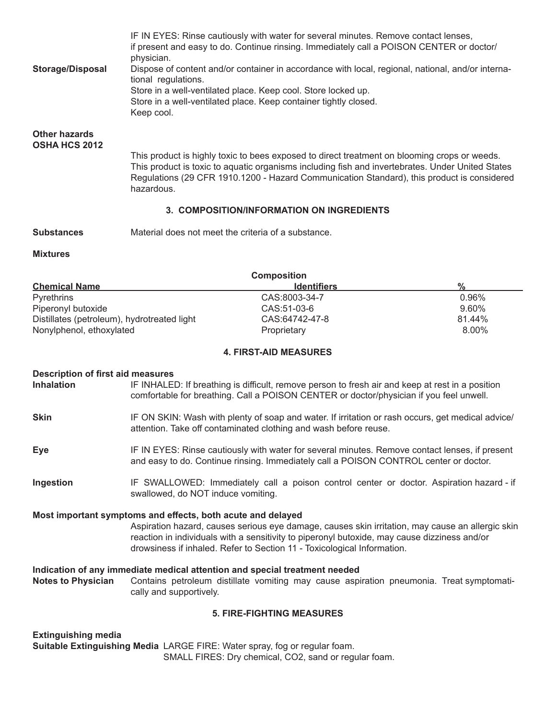| <b>Storage/Disposal</b>                                           | IF IN EYES: Rinse cautiously with water for several minutes. Remove contact lenses,<br>if present and easy to do. Continue rinsing. Immediately call a POISON CENTER or doctor/<br>physician.<br>Dispose of content and/or container in accordance with local, regional, national, and/or interna-<br>tional regulations.<br>Store in a well-ventilated place. Keep cool. Store locked up.<br>Store in a well-ventilated place. Keep container tightly closed.<br>Keep cool. |  |  |
|-------------------------------------------------------------------|------------------------------------------------------------------------------------------------------------------------------------------------------------------------------------------------------------------------------------------------------------------------------------------------------------------------------------------------------------------------------------------------------------------------------------------------------------------------------|--|--|
| <b>Other hazards</b><br>OSHA HCS 2012                             |                                                                                                                                                                                                                                                                                                                                                                                                                                                                              |  |  |
|                                                                   | This product is highly toxic to bees exposed to direct treatment on blooming crops or weeds.<br>This product is toxic to aquatic organisms including fish and invertebrates. Under United States<br>Regulations (29 CFR 1910.1200 - Hazard Communication Standard), this product is considered<br>hazardous.                                                                                                                                                                 |  |  |
|                                                                   | 3. COMPOSITION/INFORMATION ON INGREDIENTS                                                                                                                                                                                                                                                                                                                                                                                                                                    |  |  |
| <b>Substances</b>                                                 | Material does not meet the criteria of a substance.                                                                                                                                                                                                                                                                                                                                                                                                                          |  |  |
| <b>Mixtures</b>                                                   |                                                                                                                                                                                                                                                                                                                                                                                                                                                                              |  |  |
|                                                                   | <b>Composition</b>                                                                                                                                                                                                                                                                                                                                                                                                                                                           |  |  |
| <b>Chemical Name</b>                                              | $\frac{0}{0}$<br><b>Identifiers</b>                                                                                                                                                                                                                                                                                                                                                                                                                                          |  |  |
| Pyrethrins                                                        | CAS:8003-34-7<br>0.96%                                                                                                                                                                                                                                                                                                                                                                                                                                                       |  |  |
| Piperonyl butoxide<br>Distillates (petroleum), hydrotreated light | CAS:51-03-6<br>9.60%<br>CAS:64742-47-8<br>81.44%                                                                                                                                                                                                                                                                                                                                                                                                                             |  |  |
| Nonylphenol, ethoxylated                                          | 8.00%<br>Proprietary                                                                                                                                                                                                                                                                                                                                                                                                                                                         |  |  |
|                                                                   | <b>4. FIRST-AID MEASURES</b>                                                                                                                                                                                                                                                                                                                                                                                                                                                 |  |  |
|                                                                   |                                                                                                                                                                                                                                                                                                                                                                                                                                                                              |  |  |
| <b>Description of first aid measures</b><br><b>Inhalation</b>     | IF INHALED: If breathing is difficult, remove person to fresh air and keep at rest in a position<br>comfortable for breathing. Call a POISON CENTER or doctor/physician if you feel unwell.                                                                                                                                                                                                                                                                                  |  |  |
| <b>Skin</b>                                                       | IF ON SKIN: Wash with plenty of soap and water. If irritation or rash occurs, get medical advice/<br>attention. Take off contaminated clothing and wash before reuse.                                                                                                                                                                                                                                                                                                        |  |  |
| <b>Eye</b>                                                        | IF IN EYES: Rinse cautiously with water for several minutes. Remove contact lenses, if present<br>and easy to do. Continue rinsing. Immediately call a POISON CONTROL center or doctor.                                                                                                                                                                                                                                                                                      |  |  |
| Ingestion                                                         | IF SWALLOWED: Immediately call a poison control center or doctor. Aspiration hazard - if<br>swallowed, do NOT induce vomiting.                                                                                                                                                                                                                                                                                                                                               |  |  |
|                                                                   | Most important symptoms and effects, both acute and delayed<br>Aspiration hazard, causes serious eye damage, causes skin irritation, may cause an allergic skin<br>reaction in individuals with a sensitivity to piperonyl butoxide, may cause dizziness and/or<br>drowsiness if inhaled. Refer to Section 11 - Toxicological Information.                                                                                                                                   |  |  |
| <b>Notes to Physician</b>                                         | Indication of any immediate medical attention and special treatment needed<br>Contains petroleum distillate vomiting may cause aspiration pneumonia. Treat symptomati-<br>cally and supportively.                                                                                                                                                                                                                                                                            |  |  |
|                                                                   | <b>5. FIRE-FIGHTING MEASURES</b>                                                                                                                                                                                                                                                                                                                                                                                                                                             |  |  |
|                                                                   |                                                                                                                                                                                                                                                                                                                                                                                                                                                                              |  |  |
| <b>Extinguishing media</b>                                        | Suitable Extinguishing Media LARGE FIRE: Water spray, fog or regular foam.<br>SMALL FIRES: Dry chemical, CO2, sand or regular foam.                                                                                                                                                                                                                                                                                                                                          |  |  |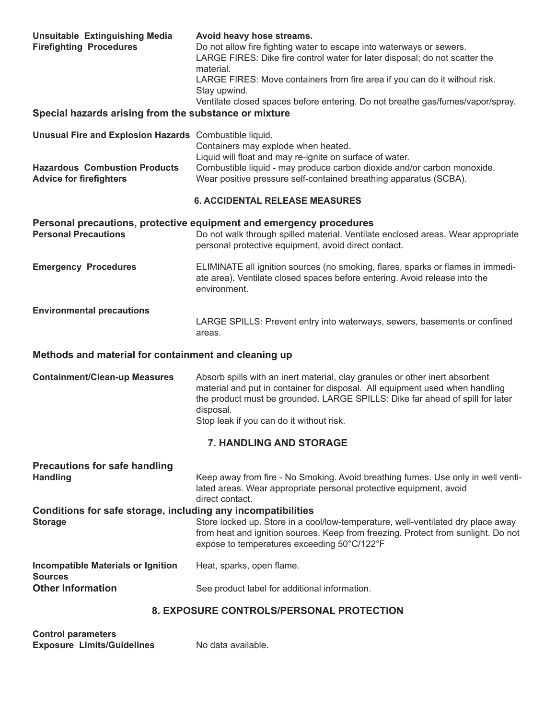| <b>Unsuitable Extinguishing Media</b><br><b>Firefighting Procedures</b>        | Avoid heavy hose streams.<br>Do not allow fire fighting water to escape into waterways or sewers.<br>LARGE FIRES: Dike fire control water for later disposal; do not scatter the<br>material.<br>LARGE FIRES: Move containers from fire area if you can do it without risk.<br>Stay upwind.<br>Ventilate closed spaces before entering. Do not breathe gas/fumes/vapor/spray. |
|--------------------------------------------------------------------------------|-------------------------------------------------------------------------------------------------------------------------------------------------------------------------------------------------------------------------------------------------------------------------------------------------------------------------------------------------------------------------------|
| Special hazards arising from the substance or mixture                          |                                                                                                                                                                                                                                                                                                                                                                               |
| Unusual Fire and Explosion Hazards Combustible liquid.                         | Containers may explode when heated.<br>Liquid will float and may re-ignite on surface of water.                                                                                                                                                                                                                                                                               |
| <b>Hazardous Combustion Products</b><br><b>Advice for firefighters</b>         | Combustible liquid - may produce carbon dioxide and/or carbon monoxide.<br>Wear positive pressure self-contained breathing apparatus (SCBA).                                                                                                                                                                                                                                  |
|                                                                                | <b>6. ACCIDENTAL RELEASE MEASURES</b>                                                                                                                                                                                                                                                                                                                                         |
| <b>Personal Precautions</b>                                                    | Personal precautions, protective equipment and emergency procedures<br>Do not walk through spilled material. Ventilate enclosed areas. Wear appropriate<br>personal protective equipment, avoid direct contact.                                                                                                                                                               |
| <b>Emergency Procedures</b>                                                    | ELIMINATE all ignition sources (no smoking, flares, sparks or flames in immedi-<br>ate area). Ventilate closed spaces before entering. Avoid release into the<br>environment.                                                                                                                                                                                                 |
| <b>Environmental precautions</b>                                               | LARGE SPILLS: Prevent entry into waterways, sewers, basements or confined<br>areas.                                                                                                                                                                                                                                                                                           |
| Methods and material for containment and cleaning up                           |                                                                                                                                                                                                                                                                                                                                                                               |
| <b>Containment/Clean-up Measures</b>                                           | Absorb spills with an inert material, clay granules or other inert absorbent<br>material and put in container for disposal. All equipment used when handling<br>the product must be grounded. LARGE SPILLS: Dike far ahead of spill for later<br>disposal.<br>Stop leak if you can do it without risk.                                                                        |
|                                                                                | 7. HANDLING AND STORAGE                                                                                                                                                                                                                                                                                                                                                       |
| <b>Precautions for safe handling</b><br><b>Handling</b>                        | Keep away from fire - No Smoking. Avoid breathing fumes. Use only in well venti-<br>lated areas. Wear appropriate personal protective equipment, avoid<br>direct contact.                                                                                                                                                                                                     |
| Conditions for safe storage, including any incompatibilities<br><b>Storage</b> | Store locked up. Store in a cool/low-temperature, well-ventilated dry place away<br>from heat and ignition sources. Keep from freezing. Protect from sunlight. Do not<br>expose to temperatures exceeding 50°C/122°F                                                                                                                                                          |
| <b>Incompatible Materials or Ignition</b><br><b>Sources</b>                    | Heat, sparks, open flame.                                                                                                                                                                                                                                                                                                                                                     |
| <b>Other Information</b>                                                       | See product label for additional information.                                                                                                                                                                                                                                                                                                                                 |
|                                                                                | 8. EXPOSURE CONTROLS/PERSONAL PROTECTION                                                                                                                                                                                                                                                                                                                                      |

| <b>Control parameters</b>         |                    |
|-----------------------------------|--------------------|
| <b>Exposure Limits/Guidelines</b> | No data available. |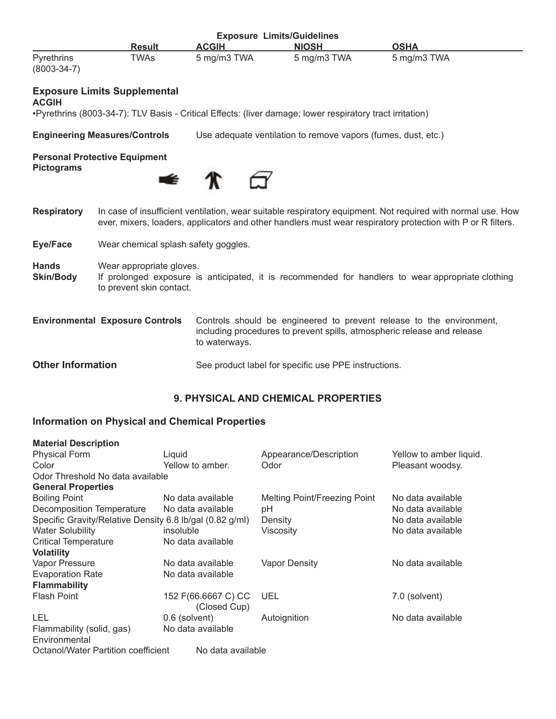| <b>Exposure Limits/Guidelines</b> |               |              |              |             |  |
|-----------------------------------|---------------|--------------|--------------|-------------|--|
|                                   | <b>Result</b> | <b>ACGIH</b> | <b>NIOSH</b> | OSHA        |  |
| Pyrethrins                        | ™As           | 5 mg/m3 TWA  | 5 mg/m3 TWA  | 5 mg/m3 TWA |  |
| $(8003 - 34 - 7)$                 |               |              |              |             |  |

### **Exposure Limits Supplemental**

#### **ACGIH**

•Pyrethrins (8003-34-7): TLV Basis - Critical Effects: (liver damage; lower respiratory tract irritation)

**Engineering Measures/Controls** Use adequate ventilation to remove vapors (fumes, dust, etc.)

#### **Personal Protective Equipment Pictograms**



**Respiratory** In case of insufficient ventilation, wear suitable respiratory equipment. Not required with normal use. How ever, mixers, loaders, applicators and other handlers must wear respiratory protection with P or R filters.

**Eye/Face** Wear chemical splash safety goggles.

- **Hands** Wear appropriate gloves.
- **Skin/Body** If prolonged exposure is anticipated, it is recommended for handlers to wear appropriate clothing to prevent skin contact.

| <b>Environmental Exposure Controls</b><br>Controls should be engineered to prevent release to the environment, |                                                                         |
|----------------------------------------------------------------------------------------------------------------|-------------------------------------------------------------------------|
|                                                                                                                | including procedures to prevent spills, atmospheric release and release |
|                                                                                                                | to waterways.                                                           |

# **Other Information** See product label for specific use PPE instructions.

#### **9. PHYSICAL AND CHEMICAL PROPERTIES**

#### **Information on Physical and Chemical Properties**

| <b>Material Description</b>                              |                                     |                              |                         |
|----------------------------------------------------------|-------------------------------------|------------------------------|-------------------------|
| <b>Physical Form</b>                                     | Liquid                              | Appearance/Description       | Yellow to amber liquid. |
| Color                                                    | Yellow to amber.                    | Odor                         | Pleasant woodsy.        |
| Odor Threshold No data available                         |                                     |                              |                         |
| <b>General Properties</b>                                |                                     |                              |                         |
| <b>Boiling Point</b>                                     | No data available                   | Melting Point/Freezing Point | No data available       |
| Decomposition Temperature                                | No data available                   | рH                           | No data available       |
| Specific Gravity/Relative Density 6.8 lb/gal (0.82 g/ml) |                                     | Density                      | No data available       |
| <b>Water Solubility</b>                                  | insoluble                           | Viscosity                    | No data available       |
| <b>Critical Temperature</b>                              | No data available                   |                              |                         |
| <b>Volatility</b>                                        |                                     |                              |                         |
| Vapor Pressure                                           | No data available                   | <b>Vapor Density</b>         | No data available       |
| <b>Evaporation Rate</b>                                  | No data available                   |                              |                         |
| <b>Flammability</b>                                      |                                     |                              |                         |
| <b>Flash Point</b>                                       | 152 F(66.6667 C) CC<br>(Closed Cup) | UEL                          | 7.0 (solvent)           |
| LEL                                                      | 0.6 (solvent)                       | Autoignition                 | No data available       |
| Flammability (solid, gas)                                | No data available                   |                              |                         |
| Environmental                                            |                                     |                              |                         |
| Octanol/Water Partition coefficient                      | No data available                   |                              |                         |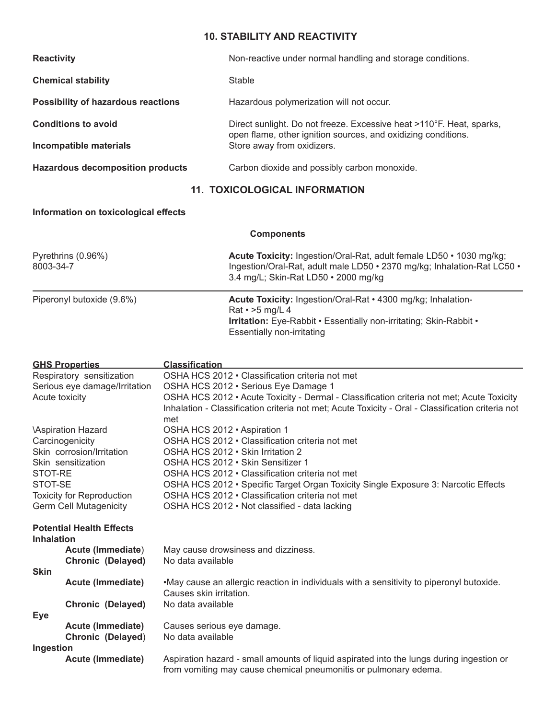# **10. STABILITY AND REACTIVITY**

| <b>Reactivity</b>                       | Non-reactive under normal handling and storage conditions.                                                                            |
|-----------------------------------------|---------------------------------------------------------------------------------------------------------------------------------------|
| <b>Chemical stability</b>               | Stable                                                                                                                                |
| Possibility of hazardous reactions      | Hazardous polymerization will not occur.                                                                                              |
| <b>Conditions to avoid</b>              | Direct sunlight. Do not freeze. Excessive heat >110°F. Heat, sparks,<br>open flame, other ignition sources, and oxidizing conditions. |
| Incompatible materials                  | Store away from oxidizers.                                                                                                            |
| <b>Hazardous decomposition products</b> | Carbon dioxide and possibly carbon monoxide.                                                                                          |

# **11. TOXICOLOGICAL INFORMATION**

**Components**

## **Information on toxicological effects**

| Pyrethrins (0.96%)<br>8003-34-7 | Acute Toxicity: Ingestion/Oral-Rat, adult female LD50 • 1030 mg/kg;<br>Ingestion/Oral-Rat, adult male LD50 • 2370 mg/kg; Inhalation-Rat LC50 •<br>3.4 mg/L; Skin-Rat LD50 • 2000 mg/kg           |
|---------------------------------|--------------------------------------------------------------------------------------------------------------------------------------------------------------------------------------------------|
| Piperonyl butoxide (9.6%)       | Acute Toxicity: Ingestion/Oral-Rat • 4300 mg/kg; Inhalation-<br>Rat $\cdot$ >5 mg/L 4<br>Irritation: Eye-Rabbit · Essentially non-irritating; Skin-Rabbit ·<br><b>Essentially non-irritating</b> |

| <b>GHS Properties</b>     |                                  | <b>Classification</b>                                                                                                                                                                          |  |
|---------------------------|----------------------------------|------------------------------------------------------------------------------------------------------------------------------------------------------------------------------------------------|--|
|                           | Respiratory sensitization        | OSHA HCS 2012 • Classification criteria not met                                                                                                                                                |  |
|                           | Serious eye damage/Irritation    | OSHA HCS 2012 · Serious Eye Damage 1                                                                                                                                                           |  |
| Acute toxicity            |                                  | OSHA HCS 2012 • Acute Toxicity - Dermal - Classification criteria not met; Acute Toxicity<br>Inhalation - Classification criteria not met; Acute Toxicity - Oral - Classification criteria not |  |
|                           |                                  | met                                                                                                                                                                                            |  |
| <b>\Aspiration Hazard</b> |                                  | OSHA HCS 2012 · Aspiration 1                                                                                                                                                                   |  |
| Carcinogenicity           |                                  | OSHA HCS 2012 • Classification criteria not met                                                                                                                                                |  |
|                           | Skin corrosion/Irritation        | OSHA HCS 2012 . Skin Irritation 2                                                                                                                                                              |  |
| Skin sensitization        |                                  | OSHA HCS 2012 • Skin Sensitizer 1                                                                                                                                                              |  |
| STOT-RE                   |                                  | OSHA HCS 2012 • Classification criteria not met                                                                                                                                                |  |
| STOT-SE                   |                                  | OSHA HCS 2012 • Specific Target Organ Toxicity Single Exposure 3: Narcotic Effects                                                                                                             |  |
|                           | <b>Toxicity for Reproduction</b> | OSHA HCS 2012 • Classification criteria not met                                                                                                                                                |  |
|                           | <b>Germ Cell Mutagenicity</b>    | OSHA HCS 2012 · Not classified - data lacking                                                                                                                                                  |  |
| <b>Inhalation</b>         | <b>Potential Health Effects</b>  |                                                                                                                                                                                                |  |
|                           | Acute (Immediate)                | May cause drowsiness and dizziness.                                                                                                                                                            |  |
|                           | <b>Chronic (Delayed)</b>         | No data available                                                                                                                                                                              |  |
| <b>Skin</b>               |                                  |                                                                                                                                                                                                |  |
|                           | <b>Acute (Immediate)</b>         | •May cause an allergic reaction in individuals with a sensitivity to piperonyl butoxide.<br>Causes skin irritation.                                                                            |  |
|                           | <b>Chronic (Delayed)</b>         | No data available                                                                                                                                                                              |  |
| <b>Eye</b>                |                                  |                                                                                                                                                                                                |  |
|                           | <b>Acute (Immediate)</b>         | Causes serious eye damage.                                                                                                                                                                     |  |
|                           | Chronic (Delayed)                | No data available                                                                                                                                                                              |  |
| Ingestion                 |                                  |                                                                                                                                                                                                |  |
|                           | <b>Acute (Immediate)</b>         | Aspiration hazard - small amounts of liquid aspirated into the lungs during ingestion or                                                                                                       |  |
|                           |                                  | from vomiting may cause chemical pneumonitis or pulmonary edema.                                                                                                                               |  |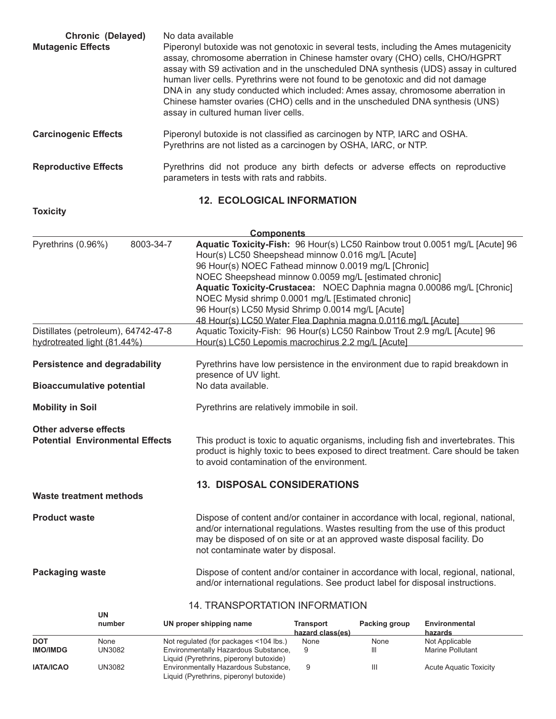| <b>Chronic (Delayed)</b><br><b>Mutagenic Effects</b> | No data available<br>Piperonyl butoxide was not genotoxic in several tests, including the Ames mutagenicity<br>assay, chromosome aberration in Chinese hamster ovary (CHO) cells, CHO/HGPRT<br>assay with S9 activation and in the unscheduled DNA synthesis (UDS) assay in cultured<br>human liver cells. Pyrethrins were not found to be genotoxic and did not damage<br>DNA in any study conducted which included: Ames assay, chromosome aberration in<br>Chinese hamster ovaries (CHO) cells and in the unscheduled DNA synthesis (UNS)<br>assay in cultured human liver cells. |
|------------------------------------------------------|--------------------------------------------------------------------------------------------------------------------------------------------------------------------------------------------------------------------------------------------------------------------------------------------------------------------------------------------------------------------------------------------------------------------------------------------------------------------------------------------------------------------------------------------------------------------------------------|
| <b>Carcinogenic Effects</b>                          | Piperonyl butoxide is not classified as carcinogen by NTP, IARC and OSHA.<br>Pyrethrins are not listed as a carcinogen by OSHA, IARC, or NTP.                                                                                                                                                                                                                                                                                                                                                                                                                                        |
| <b>Reproductive Effects</b>                          | Pyrethrins did not produce any birth defects or adverse effects on reproductive<br>parameters in tests with rats and rabbits.                                                                                                                                                                                                                                                                                                                                                                                                                                                        |

# **12. ECOLOGICAL INFORMATION**

**Toxicity**

|                                                                    |           | <b>Components</b>                                                                                                                                                                                                                                                                                                                                                                                                                    |  |  |  |
|--------------------------------------------------------------------|-----------|--------------------------------------------------------------------------------------------------------------------------------------------------------------------------------------------------------------------------------------------------------------------------------------------------------------------------------------------------------------------------------------------------------------------------------------|--|--|--|
| Pyrethrins (0.96%)                                                 | 8003-34-7 | Aquatic Toxicity-Fish: 96 Hour(s) LC50 Rainbow trout 0.0051 mg/L [Acute] 96<br>Hour(s) LC50 Sheepshead minnow 0.016 mg/L [Acute]<br>96 Hour(s) NOEC Fathead minnow 0.0019 mg/L [Chronic]<br>NOEC Sheepshead minnow 0.0059 mg/L [estimated chronic]<br>Aquatic Toxicity-Crustacea: NOEC Daphnia magna 0.00086 mg/L [Chronic]<br>NOEC Mysid shrimp 0.0001 mg/L [Estimated chronic]<br>96 Hour(s) LC50 Mysid Shrimp 0.0014 mg/L [Acute] |  |  |  |
| Distillates (petroleum), 64742-47-8<br>hydrotreated light (81.44%) |           | 48 Hour(s) LC50 Water Flea Daphnia magna 0.0116 mg/L [Acute]<br>Aquatic Toxicity-Fish: 96 Hour(s) LC50 Rainbow Trout 2.9 mg/L [Acute] 96<br>Hour(s) LC50 Lepomis macrochirus 2.2 mg/L [Acute]                                                                                                                                                                                                                                        |  |  |  |
| <b>Persistence and degradability</b>                               |           | Pyrethrins have low persistence in the environment due to rapid breakdown in<br>presence of UV light.                                                                                                                                                                                                                                                                                                                                |  |  |  |
| <b>Bioaccumulative potential</b>                                   |           | No data available.                                                                                                                                                                                                                                                                                                                                                                                                                   |  |  |  |
| <b>Mobility in Soil</b>                                            |           | Pyrethrins are relatively immobile in soil.                                                                                                                                                                                                                                                                                                                                                                                          |  |  |  |
| Other adverse effects<br><b>Potential Environmental Effects</b>    |           | This product is toxic to aquatic organisms, including fish and invertebrates. This<br>product is highly toxic to bees exposed to direct treatment. Care should be taken<br>to avoid contamination of the environment.                                                                                                                                                                                                                |  |  |  |
| <b>Waste treatment methods</b>                                     |           | <b>13. DISPOSAL CONSIDERATIONS</b>                                                                                                                                                                                                                                                                                                                                                                                                   |  |  |  |
|                                                                    |           |                                                                                                                                                                                                                                                                                                                                                                                                                                      |  |  |  |
| <b>Product waste</b>                                               |           | Dispose of content and/or container in accordance with local, regional, national,<br>and/or international regulations. Wastes resulting from the use of this product<br>may be disposed of on site or at an approved waste disposal facility. Do<br>not contaminate water by disposal.                                                                                                                                               |  |  |  |
| <b>Packaging waste</b>                                             |           | Dispose of content and/or container in accordance with local, regional, national,<br>and/or international regulations. See product label for disposal instructions.                                                                                                                                                                                                                                                                  |  |  |  |

#### 14. TRANSPORTATION INFORMATION

|                  | UN     |                                                                                 |                                      |               |                          |  |
|------------------|--------|---------------------------------------------------------------------------------|--------------------------------------|---------------|--------------------------|--|
|                  | number | UN proper shipping name                                                         | <b>Transport</b><br>hazard class(es) | Packing group | Environmental<br>hazards |  |
| <b>DOT</b>       | None   | Not regulated (for packages <104 lbs.)                                          | None                                 | None          | Not Applicable           |  |
| <b>IMO/IMDG</b>  | UN3082 | Environmentally Hazardous Substance,<br>Liquid (Pyrethrins, piperonyl butoxide) | 9                                    | Ш             | Marine Pollutant         |  |
| <b>IATA/ICAO</b> | UN3082 | Environmentally Hazardous Substance,<br>Liquid (Pyrethrins, piperonyl butoxide) |                                      | Ш             | Acute Aquatic Toxicity   |  |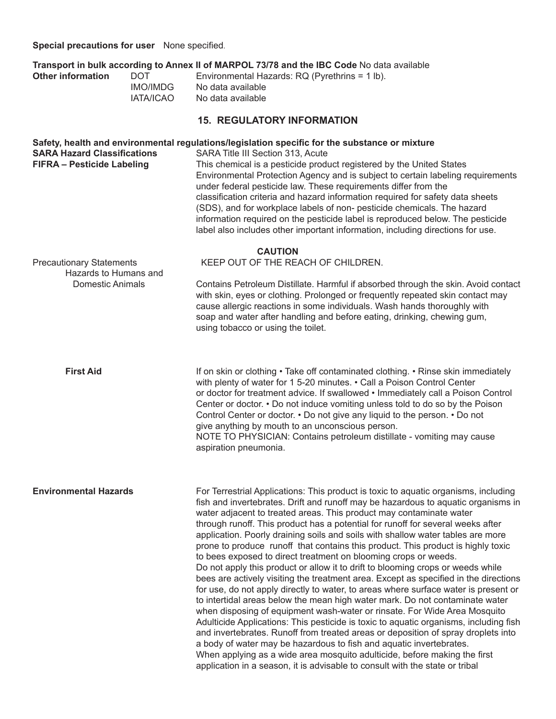**Special precautions for user** None specified.

|                                                          |                  | Transport in bulk according to Annex II of MARPOL 73/78 and the IBC Code No data available                                                                                                                                                                                                                                                                                                                                                                                                                                                                                                                                                                                                                                                                                                                                                                                                                                                                                                                                                                                                                                                                                                                                                                                                                                                                                                                                    |  |  |  |  |
|----------------------------------------------------------|------------------|-------------------------------------------------------------------------------------------------------------------------------------------------------------------------------------------------------------------------------------------------------------------------------------------------------------------------------------------------------------------------------------------------------------------------------------------------------------------------------------------------------------------------------------------------------------------------------------------------------------------------------------------------------------------------------------------------------------------------------------------------------------------------------------------------------------------------------------------------------------------------------------------------------------------------------------------------------------------------------------------------------------------------------------------------------------------------------------------------------------------------------------------------------------------------------------------------------------------------------------------------------------------------------------------------------------------------------------------------------------------------------------------------------------------------------|--|--|--|--|
| <b>Other information</b>                                 | <b>DOT</b>       | Environmental Hazards: RQ (Pyrethrins = 1 lb).                                                                                                                                                                                                                                                                                                                                                                                                                                                                                                                                                                                                                                                                                                                                                                                                                                                                                                                                                                                                                                                                                                                                                                                                                                                                                                                                                                                |  |  |  |  |
|                                                          | <b>IMO/IMDG</b>  | No data available                                                                                                                                                                                                                                                                                                                                                                                                                                                                                                                                                                                                                                                                                                                                                                                                                                                                                                                                                                                                                                                                                                                                                                                                                                                                                                                                                                                                             |  |  |  |  |
|                                                          | <b>IATA/ICAO</b> | No data available                                                                                                                                                                                                                                                                                                                                                                                                                                                                                                                                                                                                                                                                                                                                                                                                                                                                                                                                                                                                                                                                                                                                                                                                                                                                                                                                                                                                             |  |  |  |  |
|                                                          |                  | <b>15. REGULATORY INFORMATION</b>                                                                                                                                                                                                                                                                                                                                                                                                                                                                                                                                                                                                                                                                                                                                                                                                                                                                                                                                                                                                                                                                                                                                                                                                                                                                                                                                                                                             |  |  |  |  |
| <b>SARA Hazard Classifications</b>                       |                  | Safety, health and environmental regulations/legislation specific for the substance or mixture<br>SARA Title III Section 313, Acute                                                                                                                                                                                                                                                                                                                                                                                                                                                                                                                                                                                                                                                                                                                                                                                                                                                                                                                                                                                                                                                                                                                                                                                                                                                                                           |  |  |  |  |
| <b>FIFRA - Pesticide Labeling</b>                        |                  | This chemical is a pesticide product registered by the United States<br>Environmental Protection Agency and is subject to certain labeling requirements<br>under federal pesticide law. These requirements differ from the<br>classification criteria and hazard information required for safety data sheets<br>(SDS), and for workplace labels of non- pesticide chemicals. The hazard<br>information required on the pesticide label is reproduced below. The pesticide<br>label also includes other important information, including directions for use.                                                                                                                                                                                                                                                                                                                                                                                                                                                                                                                                                                                                                                                                                                                                                                                                                                                                   |  |  |  |  |
|                                                          |                  | <b>CAUTION</b>                                                                                                                                                                                                                                                                                                                                                                                                                                                                                                                                                                                                                                                                                                                                                                                                                                                                                                                                                                                                                                                                                                                                                                                                                                                                                                                                                                                                                |  |  |  |  |
| <b>Precautionary Statements</b><br>Hazards to Humans and |                  | KEEP OUT OF THE REACH OF CHILDREN.                                                                                                                                                                                                                                                                                                                                                                                                                                                                                                                                                                                                                                                                                                                                                                                                                                                                                                                                                                                                                                                                                                                                                                                                                                                                                                                                                                                            |  |  |  |  |
| <b>Domestic Animals</b>                                  |                  | Contains Petroleum Distillate. Harmful if absorbed through the skin. Avoid contact<br>with skin, eyes or clothing. Prolonged or frequently repeated skin contact may<br>cause allergic reactions in some individuals. Wash hands thoroughly with<br>soap and water after handling and before eating, drinking, chewing gum,<br>using tobacco or using the toilet.                                                                                                                                                                                                                                                                                                                                                                                                                                                                                                                                                                                                                                                                                                                                                                                                                                                                                                                                                                                                                                                             |  |  |  |  |
| <b>First Aid</b>                                         |                  | If on skin or clothing • Take off contaminated clothing. • Rinse skin immediately<br>with plenty of water for 1 5-20 minutes. • Call a Poison Control Center<br>or doctor for treatment advice. If swallowed • Immediately call a Poison Control<br>Center or doctor. • Do not induce vomiting unless told to do so by the Poison<br>Control Center or doctor. • Do not give any liquid to the person. • Do not<br>give anything by mouth to an unconscious person.<br>NOTE TO PHYSICIAN: Contains petroleum distillate - vomiting may cause<br>aspiration pneumonia.                                                                                                                                                                                                                                                                                                                                                                                                                                                                                                                                                                                                                                                                                                                                                                                                                                                         |  |  |  |  |
| <b>Environmental Hazards</b>                             |                  | For Terrestrial Applications: This product is toxic to aquatic organisms, including<br>fish and invertebrates. Drift and runoff may be hazardous to aquatic organisms in<br>water adjacent to treated areas. This product may contaminate water<br>through runoff. This product has a potential for runoff for several weeks after<br>application. Poorly draining soils and soils with shallow water tables are more<br>prone to produce runoff that contains this product. This product is highly toxic<br>to bees exposed to direct treatment on blooming crops or weeds.<br>Do not apply this product or allow it to drift to blooming crops or weeds while<br>bees are actively visiting the treatment area. Except as specified in the directions<br>for use, do not apply directly to water, to areas where surface water is present or<br>to intertidal areas below the mean high water mark. Do not contaminate water<br>when disposing of equipment wash-water or rinsate. For Wide Area Mosquito<br>Adulticide Applications: This pesticide is toxic to aquatic organisms, including fish<br>and invertebrates. Runoff from treated areas or deposition of spray droplets into<br>a body of water may be hazardous to fish and aquatic invertebrates.<br>When applying as a wide area mosquito adulticide, before making the first<br>application in a season, it is advisable to consult with the state or tribal |  |  |  |  |